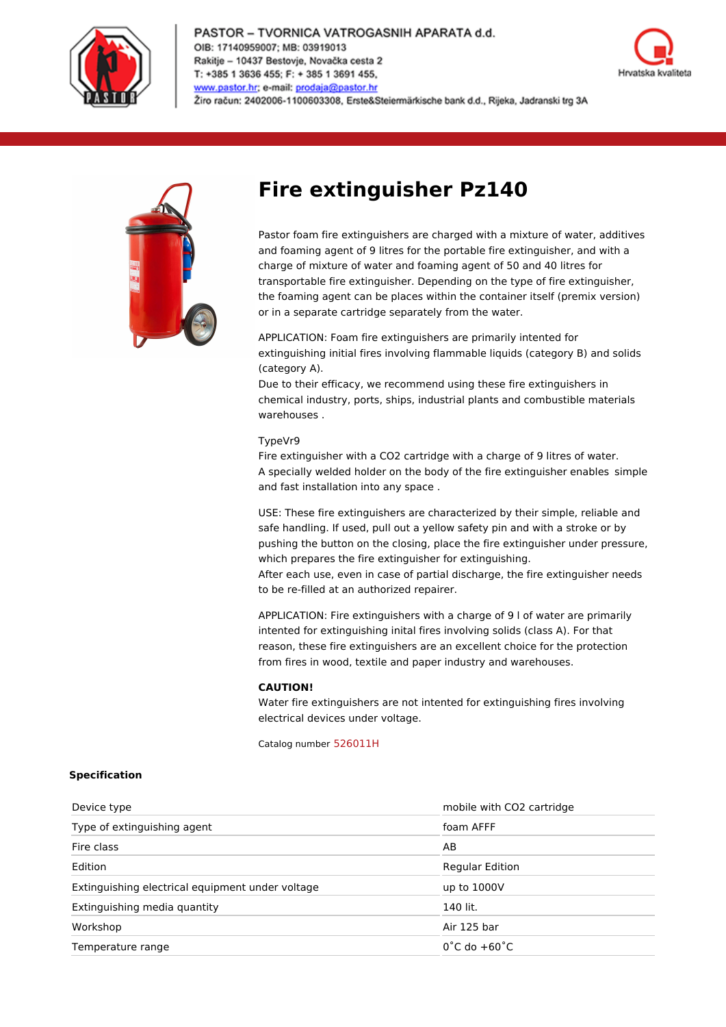

#### PASTOR - TVORNICA VATROGASNIH APARATA d.d. OIB: 17140959007; MB: 03919013 Rakitje - 10437 Bestovje, Novačka cesta 2 T: +385 1 3636 455; F: + 385 1 3691 455, www.pastor.hr; e-mail: prodaja@pastor.hr Žiro račun: 2402006-1100603308, Erste&Steiermärkische bank d.d., Rijeka, Jadranski trg 3A





# **Fire extinguisher Pz140**

Pastor foam fire extinguishers are charged with a mixture of water, additives and foaming agent of 9 litres for the portable fire extinguisher, and with a charge of mixture of water and foaming agent of 50 and 40 litres for transportable fire extinguisher. Depending on the type of fire extinguisher, the foaming agent can be places within the container itself (premix version) or in a separate cartridge separately from the water.

APPLICATION: Foam fire extinguishers are primarily intented for extinguishing initial fires involving flammable liquids (category B) and solids (category A).

Due to their efficacy, we recommend using these fire extinguishers in chemical industry, ports, ships, industrial plants and combustible materials warehouses .

## TypeVr9

Fire extinguisher with a CO2 cartridge with a charge of 9 litres of water. A specially welded holder on the body of the fire extinguisher enables simple and fast installation into any space .

USE: These fire extinguishers are characterized by their simple, reliable and safe handling. If used, pull out a yellow safety pin and with a stroke or by pushing the button on the closing, place the fire extinguisher under pressure, which prepares the fire extinguisher for extinguishing.

After each use, even in case of partial discharge, the fire extinguisher needs to be re-filled at an authorized repairer.

APPLICATION: Fire extinguishers with a charge of 9 l of water are primarily intented for extinguishing inital fires involving solids (class A). For that reason, these fire extinguishers are an excellent choice for the protection from fires in wood, textile and paper industry and warehouses.

### **CAUTION!**

Water fire extinguishers are not intented for extinguishing fires involving electrical devices under voltage.

Catalog number 526011H

### **Specification**

| Device type                                      | mobile with CO2 cartridge        |
|--------------------------------------------------|----------------------------------|
| Type of extinguishing agent                      | foam AFFF                        |
| Fire class                                       | AB                               |
| Edition                                          | <b>Regular Edition</b>           |
| Extinguishing electrical equipment under voltage | up to 1000V                      |
| Extinguishing media quantity                     | 140 lit.                         |
| Workshop                                         | Air 125 bar                      |
| Temperature range                                | $0^{\circ}$ C do $+60^{\circ}$ C |